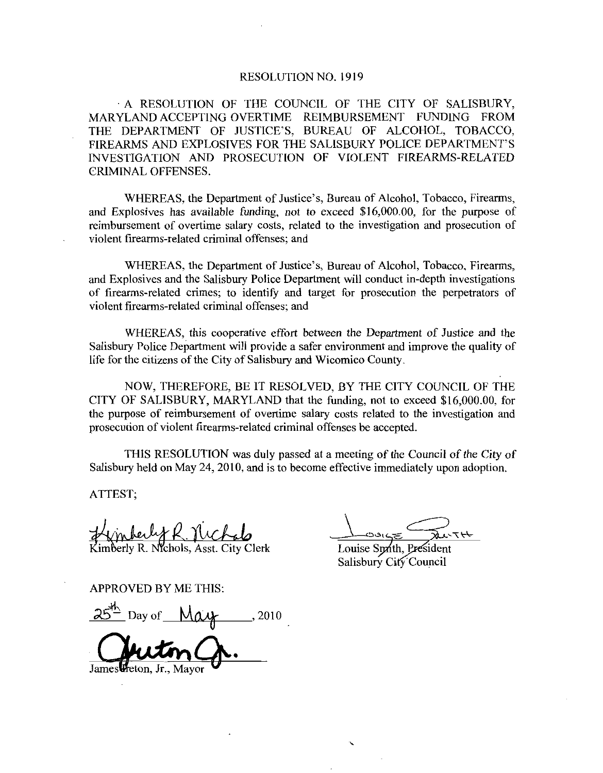## RESOLUTION NO. 1919

A RESOLUTION OF THE COUNCIL OF THE CITY OF SALISBURY MARYLAND ACCEPTING OVERTIME REIMBURSEMENT FUNDING FROM RESOLUTION NO. 1919<br>A RESOLUTION OF THE COUNCIL OF THE CITY OF SALISBURY<br>MARYLAND ACCEPTING OVERTIME REIMBURSEMENT FUNDING FROM<br>THE DEPARTMENT OF JUSTICE'S, BUREAU OF ALCOHOL, TOBACCO<br>FIREARMS AND EXPLOSIVES FOR THE SALISB FIREARMS AND EXPLOSIVES FOR THE SALISBURY POLICE DEPARTMENT'S INVESTIGATION AND PROSECUTION OF VIOLENT FIREARMS-RELATED FIREARMS AND EXPLOSIVES FOR THE SALISBURY POLICE OF SALISBURY,<br>UNDING FROM<br>IOL, TOBACCO,<br>DEPARTMENT'S<br>ARMS-RELATED CRIMINAL OFFENSES THE DEPARTMENT OF JUSTICE'S, BUREAU OF ALCOHOL, TOBACCO, FIREARMS AND EXPLOSIVES FOR THE SALISBURY POLICE DEPARTMENT'S INVESTIGATION AND PROSECUTION OF VIOLENT FIREARMS-RELATED CRIMINAL OFFENSES.<br>WHEREAS, the Department of

WHEREAS, the Department of Justice's, Bureau of Alcohol, Tobacco, Firearms,<br>and Explosives has available funding, not to exceed \$16,000.00, for the purpose of<br>reimbursement of overtime salary costs, related to the investig reimbursement of overtime salary costs, related to the investigation and prosecution of violent firearms-related criminal offenses; and WHEREAS, the Department of Justice's, Bureau of Alcohol, Tobacco, Firearms,<br>plosives has available funding, not to exceed \$16,000.00, for the purpose of<br>rsement of overtime salary costs, related to the investigation and pr

WHEREAS, the Department of Justice's, Bureau of Alcohol, Tobacco, Firearms, and Explosives and the Salisbury Police Department will conduct in-depth investigations of firearms-related crimes; to identify and target for prosecution the perpetrators of violent firearms-related criminal offenses; and

WHEREAS this cooperative effort between the Department of Justice and the Salisbury Police Department will provide <sup>a</sup> safer environment and improve the quality of life for the citizens of the City of Salisbury and Wicomico County.

NOW, THEREFORE, BE IT RESOLVED, BY THE CITY COUNCIL OF THE CITY OF SALISBURY, MARYLAND that the funding, not to exceed  $$16,000.00$ , for the purpose of reimbursement of overtime salary costs related to the investigation and prosecution of violent firearms-related criminal offenses be accepted.

THIS RESOLUTION was duly passed at ameeting of the Council of the City of Salisbury held on May 24, 2010, and is to become effective immediately upon adoption.

ATTEST

Hynberly R. Nichols<br>Eimberly R. Nichols, Asst. City Clerk<br>SPPROVED BY ME THIS:<br>25<sup>th</sup> Day of May 2010

APPROVED BY ME THIS

U

Louise Snath, President Salisbury City Council

James Freton, Jr.